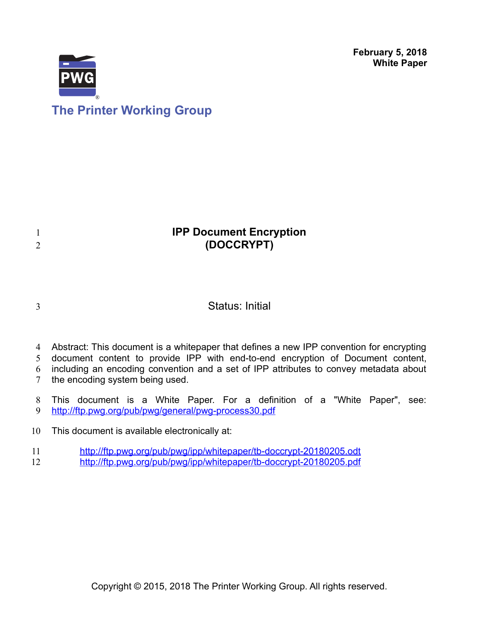**February 5, 2018 White Paper**



# **The Printer Working Group**

# **IPP Document Encryption (DOCCRYPT)**

3

1 2

## Status: Initial

- Abstract: This document is a whitepaper that defines a new IPP convention for encrypting 4
- document content to provide IPP with end-to-end encryption of Document content, 5

including an encoding convention and a set of IPP attributes to convey metadata about 6

- the encoding system being used. 7
- This document is a White Paper. For a definition of a "White Paper", see: <http://ftp.pwg.org/pub/pwg/general/pwg-process30.pdf> 8 9
- This document is available electronically at: 10
- <http://ftp.pwg.org/pub/pwg/ipp/whitepaper/tb-doccrypt-20180205.odt> 11
- <http://ftp.pwg.org/pub/pwg/ipp/whitepaper/tb-doccrypt-20180205.pdf> 12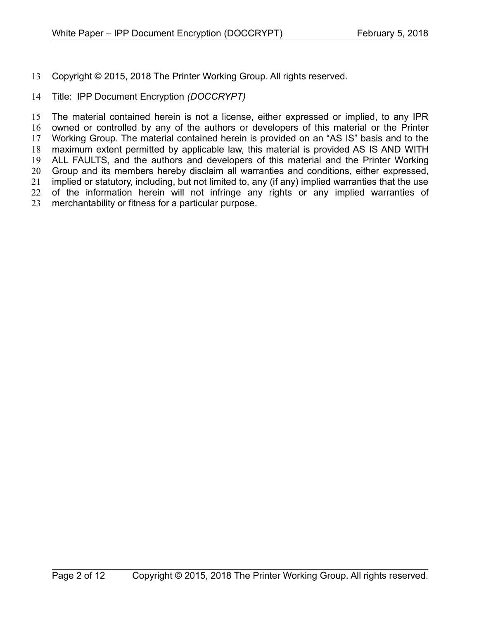Copyright © 2015, 2018 The Printer Working Group. All rights reserved. 13

#### Title: IPP Document Encryption *(DOCCRYPT)* 14

The material contained herein is not a license, either expressed or implied, to any IPR owned or controlled by any of the authors or developers of this material or the Printer Working Group. The material contained herein is provided on an "AS IS" basis and to the maximum extent permitted by applicable law, this material is provided AS IS AND WITH ALL FAULTS, and the authors and developers of this material and the Printer Working Group and its members hereby disclaim all warranties and conditions, either expressed, implied or statutory, including, but not limited to, any (if any) implied warranties that the use of the information herein will not infringe any rights or any implied warranties of merchantability or fitness for a particular purpose. 15 16 17 18 19 20 21 22 23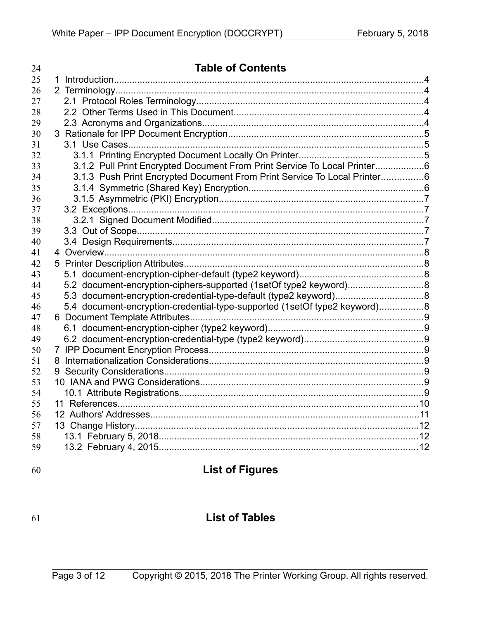| 24       | <b>Table of Contents</b>                                                  |  |
|----------|---------------------------------------------------------------------------|--|
| 25       |                                                                           |  |
| 26       |                                                                           |  |
| 27       |                                                                           |  |
| 28       |                                                                           |  |
| 29       |                                                                           |  |
| 30       |                                                                           |  |
| 31       |                                                                           |  |
| 32       |                                                                           |  |
| 33       | 3.1.2 Pull Print Encrypted Document From Print Service To Local Printer6  |  |
| 34       | 3.1.3 Push Print Encrypted Document From Print Service To Local Printer6  |  |
| 35       |                                                                           |  |
| 36       |                                                                           |  |
| 37       |                                                                           |  |
| 38       |                                                                           |  |
| 39       |                                                                           |  |
| 40       |                                                                           |  |
| 41       |                                                                           |  |
| 42       |                                                                           |  |
| 43       |                                                                           |  |
| 44       | 5.2 document-encryption-ciphers-supported (1setOf type2 keyword)8         |  |
| 45       |                                                                           |  |
| 46       | 5.4 document-encryption-credential-type-supported (1setOf type2 keyword)8 |  |
| 47<br>48 |                                                                           |  |
| 49       |                                                                           |  |
| 50       |                                                                           |  |
| 51       |                                                                           |  |
| 52       |                                                                           |  |
| 53       |                                                                           |  |
| 54       |                                                                           |  |
| 55       |                                                                           |  |
| 56       |                                                                           |  |
| 57       |                                                                           |  |
| 58       |                                                                           |  |
| 59       |                                                                           |  |
|          |                                                                           |  |

60

# **List of Figures**

## 61

# **List of Tables**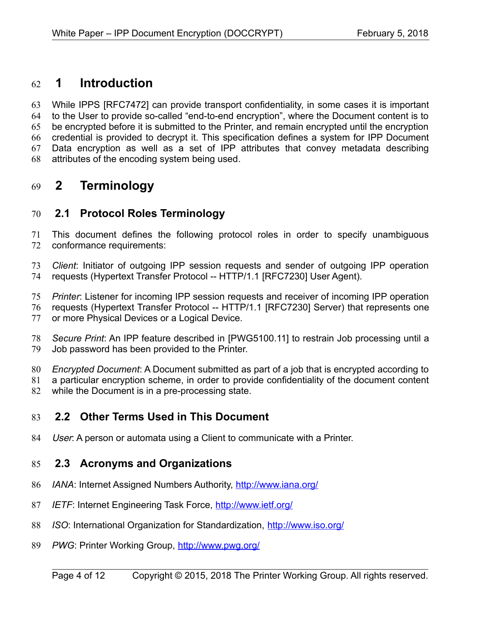## **1 Introduction** 62

While IPPS [\[RFC7472\]](#page-9-0) can provide transport confidentiality, in some cases it is important to the User to provide so-called "end-to-end encryption", where the Document content is to be encrypted before it is submitted to the Printer, and remain encrypted until the encryption credential is provided to decrypt it. This specification defines a system for IPP Document Data encryption as well as a set of IPP attributes that convey metadata describing attributes of the encoding system being used. 63 64 65 66 67 68

## **2 Terminology** 69

## **2.1 Protocol Roles Terminology** 70

This document defines the following protocol roles in order to specify unambiguous conformance requirements: 71 72

*Client*: Initiator of outgoing IPP session requests and sender of outgoing IPP operation requests (Hypertext Transfer Protocol -- HTTP/1.1 [\[RFC7230\]](#page-9-2) User Agent). 73 74

*Printer*: Listener for incoming IPP session requests and receiver of incoming IPP operation 75

requests (Hypertext Transfer Protocol -- HTTP/1.1 [\[RFC7230\]](#page-9-2) Server) that represents one or more Physical Devices or a Logical Device. 76 77

*Secure Print*: An IPP feature described in [\[PWG5100.11\]](#page-9-1) to restrain Job processing until a Job password has been provided to the Printer. 78 79

*Encrypted Document*: A Document submitted as part of a job that is encrypted according to 80

a particular encryption scheme, in order to provide confidentiality of the document content 81

while the Document is in a pre-processing state. 82

## **2.2 Other Terms Used in This Document** 83

User: A person or automata using a Client to communicate with a Printer. 84

## **2.3 Acronyms and Organizations** 85

- *IANA*: Internet Assigned Numbers Authority,<http://www.iana.org/> 86
- *IETF*: Internet Engineering Task Force,<http://www.ietf.org/> 87
- *ISO*: International Organization for Standardization,<http://www.iso.org/> 88
- *PWG*: Printer Working Group,<http://www.pwg.org/> 89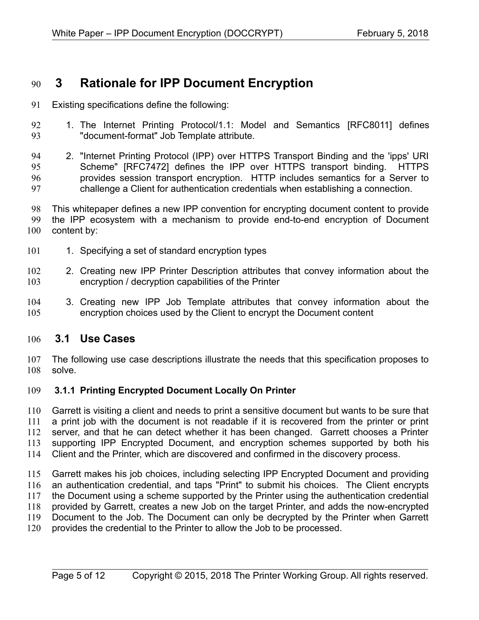## **3 Rationale for IPP Document Encryption** 90

- Existing specifications define the following: 91
- 1. The Internet Printing Protocol/1.1: Model and Semantics [\[RFC8011\]](#page-10-0) defines "document-format" Job Template attribute. 92 93

2. "Internet Printing Protocol (IPP) over HTTPS Transport Binding and the 'ipps' URI Scheme" [\[RFC7472\]](#page-9-0) defines the IPP over HTTPS transport binding. HTTPS provides session transport encryption. HTTP includes semantics for a Server to challenge a Client for authentication credentials when establishing a connection. 94 95 96 97

This whitepaper defines a new IPP convention for encrypting document content to provide the IPP ecosystem with a mechanism to provide end-to-end encryption of Document content by: 98 99 100

- 1. Specifying a set of standard encryption types 101
- 2. Creating new IPP Printer Description attributes that convey information about the encryption / decryption capabilities of the Printer 102 103
- 3. Creating new IPP Job Template attributes that convey information about the encryption choices used by the Client to encrypt the Document content 104 105

#### **3.1 Use Cases** 106

The following use case descriptions illustrate the needs that this specification proposes to solve. 107 108

#### **3.1.1 Printing Encrypted Document Locally On Printer** 109

Garrett is visiting a client and needs to print a sensitive document but wants to be sure that a print job with the document is not readable if it is recovered from the printer or print server, and that he can detect whether it has been changed. Garrett chooses a Printer supporting IPP Encrypted Document, and encryption schemes supported by both his Client and the Printer, which are discovered and confirmed in the discovery process. 110 111 112 113 114

Garrett makes his job choices, including selecting IPP Encrypted Document and providing an authentication credential, and taps "Print" to submit his choices. The Client encrypts the Document using a scheme supported by the Printer using the authentication credential provided by Garrett, creates a new Job on the target Printer, and adds the now-encrypted Document to the Job. The Document can only be decrypted by the Printer when Garrett provides the credential to the Printer to allow the Job to be processed. 115 116 117 118 119 120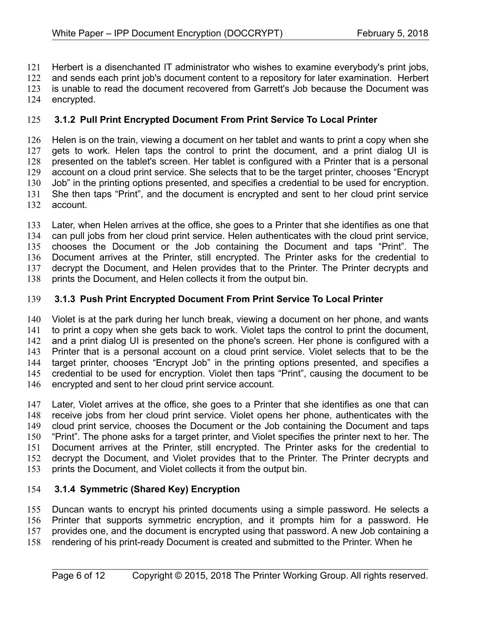Herbert is a disenchanted IT administrator who wishes to examine everybody's print jobs, 121

and sends each print job's document content to a repository for later examination. Herbert 122

is unable to read the document recovered from Garrett's Job because the Document was 123

encrypted. 124

#### **3.1.2 Pull Print Encrypted Document From Print Service To Local Printer** 125

Helen is on the train, viewing a document on her tablet and wants to print a copy when she gets to work. Helen taps the control to print the document, and a print dialog UI is presented on the tablet's screen. Her tablet is configured with a Printer that is a personal account on a cloud print service. She selects that to be the target printer, chooses "Encrypt Job" in the printing options presented, and specifies a credential to be used for encryption. She then taps "Print", and the document is encrypted and sent to her cloud print service account. 126 127 128 129 130 131 132

Later, when Helen arrives at the office, she goes to a Printer that she identifies as one that can pull jobs from her cloud print service. Helen authenticates with the cloud print service, chooses the Document or the Job containing the Document and taps "Print". The Document arrives at the Printer, still encrypted. The Printer asks for the credential to decrypt the Document, and Helen provides that to the Printer. The Printer decrypts and prints the Document, and Helen collects it from the output bin. 133 134 135 136 137 138

#### **3.1.3 Push Print Encrypted Document From Print Service To Local Printer** 139

Violet is at the park during her lunch break, viewing a document on her phone, and wants to print a copy when she gets back to work. Violet taps the control to print the document, and a print dialog UI is presented on the phone's screen. Her phone is configured with a Printer that is a personal account on a cloud print service. Violet selects that to be the target printer, chooses "Encrypt Job" in the printing options presented, and specifies a credential to be used for encryption. Violet then taps "Print", causing the document to be encrypted and sent to her cloud print service account. 140 141 142 143 144 145 146

Later, Violet arrives at the office, she goes to a Printer that she identifies as one that can receive jobs from her cloud print service. Violet opens her phone, authenticates with the cloud print service, chooses the Document or the Job containing the Document and taps "Print". The phone asks for a target printer, and Violet specifies the printer next to her. The Document arrives at the Printer, still encrypted. The Printer asks for the credential to decrypt the Document, and Violet provides that to the Printer. The Printer decrypts and prints the Document, and Violet collects it from the output bin. 147 148 149 150 151 152 153

#### **3.1.4 Symmetric (Shared Key) Encryption** 154

Duncan wants to encrypt his printed documents using a simple password. He selects a Printer that supports symmetric encryption, and it prompts him for a password. He provides one, and the document is encrypted using that password. A new Job containing a rendering of his print-ready Document is created and submitted to the Printer. When he 155 156 157 158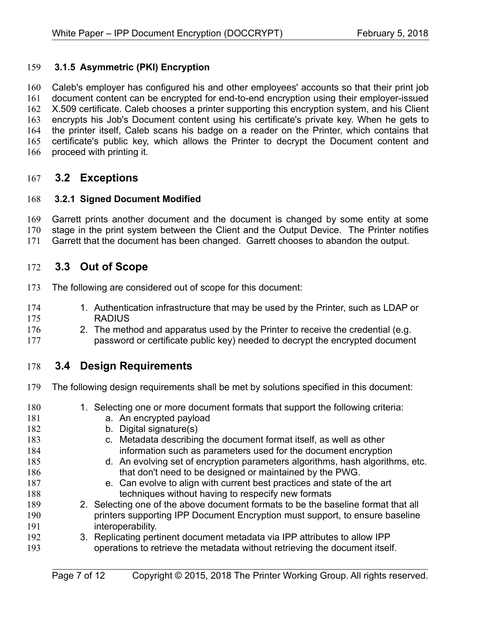#### **3.1.5 Asymmetric (PKI) Encryption** 159

Caleb's employer has configured his and other employees' accounts so that their print job document content can be encrypted for end-to-end encryption using their employer-issued X.509 certificate. Caleb chooses a printer supporting this encryption system, and his Client encrypts his Job's Document content using his certificate's private key. When he gets to the printer itself, Caleb scans his badge on a reader on the Printer, which contains that certificate's public key, which allows the Printer to decrypt the Document content and proceed with printing it. 160 161 162 163 164 165 166

#### **3.2 Exceptions** 167

#### **3.2.1 Signed Document Modified** 168

Garrett prints another document and the document is changed by some entity at some 169

stage in the print system between the Client and the Output Device. The Printer notifies 170

Garrett that the document has been changed. Garrett chooses to abandon the output. 171

#### **3.3 Out of Scope** 172

- The following are considered out of scope for this document: 173
- 1. Authentication infrastructure that may be used by the Printer, such as LDAP or **RADIUS** 174 175
- 2. The method and apparatus used by the Printer to receive the credential (e.g. password or certificate public key) needed to decrypt the encrypted document 176 177

### **3.4 Design Requirements** 178

- The following design requirements shall be met by solutions specified in this document: 179
- 1. Selecting one or more document formats that support the following criteria: a. An encrypted payload b. Digital signature(s) c. Metadata describing the document format itself, as well as other information such as parameters used for the document encryption d. An evolving set of encryption parameters algorithms, hash algorithms, etc. that don't need to be designed or maintained by the PWG. e. Can evolve to align with current best practices and state of the art techniques without having to respecify new formats 2. Selecting one of the above document formats to be the baseline format that all printers supporting IPP Document Encryption must support, to ensure baseline interoperability. 3. Replicating pertinent document metadata via IPP attributes to allow IPP operations to retrieve the metadata without retrieving the document itself. 180 181 182 183 184 185 186 187 188 189 190 191 192 193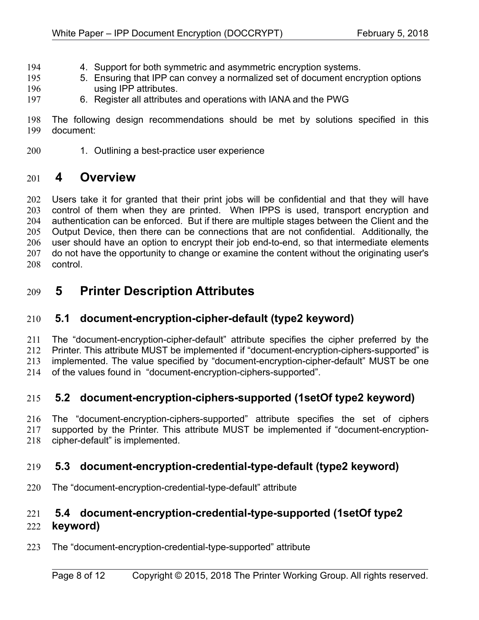- 4. Support for both symmetric and asymmetric encryption systems. 194
- 5. Ensuring that IPP can convey a normalized set of document encryption options using IPP attributes. 195 196
- 6. Register all attributes and operations with IANA and the PWG 197

The following design recommendations should be met by solutions specified in this document: 198 199

1. Outlining a best-practice user experience 200

## **4 Overview** 201

Users take it for granted that their print jobs will be confidential and that they will have control of them when they are printed. When IPPS is used, transport encryption and authentication can be enforced. But if there are multiple stages between the Client and the Output Device, then there can be connections that are not confidential. Additionally, the user should have an option to encrypt their job end-to-end, so that intermediate elements do not have the opportunity to change or examine the content without the originating user's control. 202 203 204 205 206 207 208

## **5 Printer Description Attributes** 209

## **5.1 document-encryption-cipher-default (type2 keyword)** 210

The "document-encryption-cipher-default" attribute specifies the cipher preferred by the Printer. This attribute MUST be implemented if "document-encryption-ciphers-supported" is implemented. The value specified by "document-encryption-cipher-default" MUST be one 211 212 213

of the values found in "document-encryption-ciphers-supported". 214

## **5.2 document-encryption-ciphers-supported (1setOf type2 keyword)** 215

The "document-encryption-ciphers-supported" attribute specifies the set of ciphers supported by the Printer. This attribute MUST be implemented if "document-encryptioncipher-default" is implemented. 216 217 218

### **5.3 document-encryption-credential-type-default (type2 keyword)** 219

The "document-encryption-credential-type-default" attribute 220

## **5.4 document-encryption-credential-type-supported (1setOf type2**  221

#### **keyword)** 222

The "document-encryption-credential-type-supported" attribute 223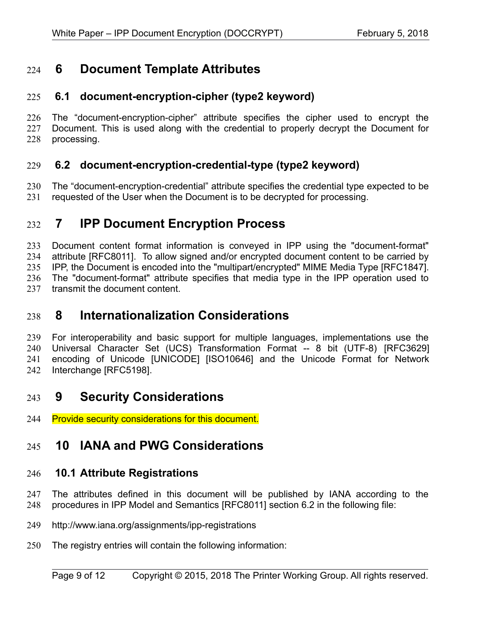## **6 Document Template Attributes** 224

## **6.1 document-encryption-cipher (type2 keyword)** 225

The "document-encryption-cipher" attribute specifies the cipher used to encrypt the Document. This is used along with the credential to properly decrypt the Document for processing. 226 227 228

### **6.2 document-encryption-credential-type (type2 keyword)** 229

The "document-encryption-credential" attribute specifies the credential type expected to be requested of the User when the Document is to be decrypted for processing. 230 231

## **7 IPP Document Encryption Process** 232

Document content format information is conveyed in IPP using the "document-format" attribute [\[RFC8011\].](#page-10-0) To allow signed and/or encrypted document content to be carried by IPP, the Document is encoded into the "multipart/encrypted" MIME Media Type [RFC1847]. The "document-format" attribute specifies that media type in the IPP operation used to transmit the document content. 233 234 235 236 237

## **8 Internationalization Considerations** 238

For interoperability and basic support for multiple languages, implementations use the Universal Character Set (UCS) Transformation Format -- 8 bit (UTF-8) [\[RFC3629\]](#page-9-5) encoding of Unicode [\[UNICODE\]](#page-10-1) [\[ISO10646\]](#page-9-4) and the Unicode Format for Network Interchange [\[RFC5198\].](#page-9-3) 239 240 241 242

## **9 Security Considerations** 243

Provide security considerations for this document. 244

## **10 IANA and PWG Considerations** 245

### **10.1 Attribute Registrations** 246

The attributes defined in this document will be published by IANA according to the procedures in IPP Model and Semantics [\[RFC8011\]](#page-10-0) section 6.2 in the following file: 247 248

- http://www.iana.org/assignments/ipp-registrations 249
- The registry entries will contain the following information: 250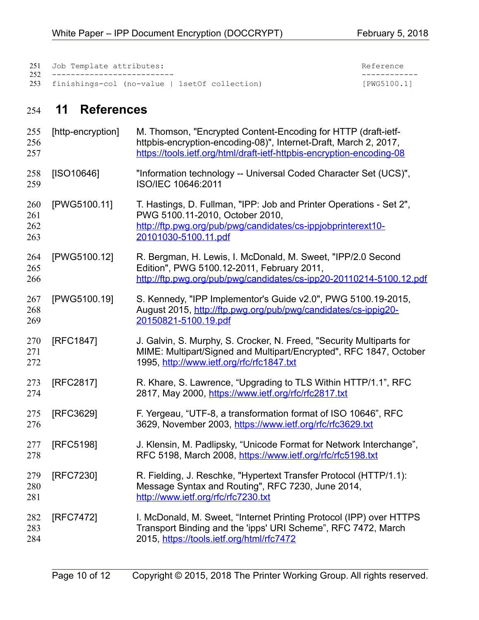| 251 Job Template attributes:                      |           |  |
|---------------------------------------------------|-----------|--|
| 252 ---------------------------                   |           |  |
| 253 finishings-col (no-value   1setOf collection) | [PWG5100. |  |

# -------------------------- ------------ [PWG5100.1]

## **11 References** 254

<span id="page-9-5"></span><span id="page-9-4"></span><span id="page-9-3"></span><span id="page-9-2"></span><span id="page-9-1"></span><span id="page-9-0"></span>

| 255<br>256<br>257        | [http-encryption] | M. Thomson, "Encrypted Content-Encoding for HTTP (draft-ietf-<br>httpbis-encryption-encoding-08)", Internet-Draft, March 2, 2017,<br>https://tools.ietf.org/html/draft-ietf-httpbis-encryption-encoding-08 |
|--------------------------|-------------------|------------------------------------------------------------------------------------------------------------------------------------------------------------------------------------------------------------|
| 258<br>259               | $[ISO10646]$      | "Information technology -- Universal Coded Character Set (UCS)",<br>ISO/IEC 10646:2011                                                                                                                     |
| 260<br>261<br>262<br>263 | [PWG5100.11]      | T. Hastings, D. Fullman, "IPP: Job and Printer Operations - Set 2",<br>PWG 5100.11-2010, October 2010,<br>http://ftp.pwg.org/pub/pwg/candidates/cs-ippjobprinterext10-<br>20101030-5100.11.pdf             |
| 264<br>265<br>266        | [PWG5100.12]      | R. Bergman, H. Lewis, I. McDonald, M. Sweet, "IPP/2.0 Second<br>Edition", PWG 5100.12-2011, February 2011,<br>http://ftp.pwg.org/pub/pwg/candidates/cs-ipp20-20110214-5100.12.pdf                          |
| 267<br>268<br>269        | [PWG5100.19]      | S. Kennedy, "IPP Implementor's Guide v2.0", PWG 5100.19-2015,<br>August 2015, http://ftp.pwg.org/pub/pwg/candidates/cs-ippig20-<br>20150821-5100.19.pdf                                                    |
| 270<br>271<br>272        | [RFC1847]         | J. Galvin, S. Murphy, S. Crocker, N. Freed, "Security Multiparts for<br>MIME: Multipart/Signed and Multipart/Encrypted", RFC 1847, October<br>1995, http://www.ietf.org/rfc/rfc1847.txt                    |
| 273<br>274               | [RFC2817]         | R. Khare, S. Lawrence, "Upgrading to TLS Within HTTP/1.1", RFC<br>2817, May 2000, https://www.ietf.org/rfc/rfc2817.txt                                                                                     |
| 275<br>276               | [RFC3629]         | F. Yergeau, "UTF-8, a transformation format of ISO 10646", RFC<br>3629, November 2003, https://www.ietf.org/rfc/rfc3629.txt                                                                                |
| 277<br>278               | [RFC5198]         | J. Klensin, M. Padlipsky, "Unicode Format for Network Interchange",<br>RFC 5198, March 2008, https://www.ietf.org/rfc/rfc5198.txt                                                                          |
| 279<br>280<br>281        | [RFC7230]         | R. Fielding, J. Reschke, "Hypertext Transfer Protocol (HTTP/1.1):<br>Message Syntax and Routing", RFC 7230, June 2014,<br>http://www.ietf.org/rfc/rfc7230.txt                                              |
| 282<br>283<br>284        | [RFC7472]         | I. McDonald, M. Sweet, "Internet Printing Protocol (IPP) over HTTPS<br>Transport Binding and the 'ipps' URI Scheme", RFC 7472, March<br>2015, https://tools.ietf.org/html/rfc7472                          |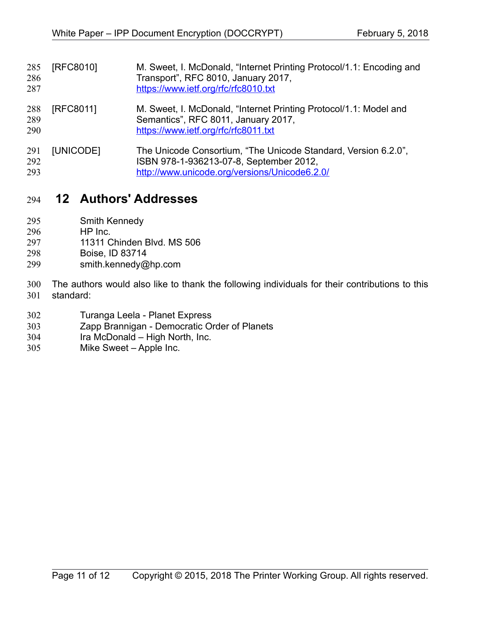<span id="page-10-0"></span>

| 285<br>286<br>287 | [RFC8010] | M. Sweet, I. McDonald, "Internet Printing Protocol/1.1: Encoding and<br>Transport", RFC 8010, January 2017,<br>https://www.ietf.org/rfc/rfc8010.txt        |
|-------------------|-----------|------------------------------------------------------------------------------------------------------------------------------------------------------------|
| 288<br>289<br>290 | [RFC8011] | M. Sweet, I. McDonald, "Internet Printing Protocol/1.1: Model and<br>Semantics", RFC 8011, January 2017,<br>https://www.ietf.org/rfc/rfc8011.txt           |
| 291<br>292<br>293 | [UNICODE] | The Unicode Consortium, "The Unicode Standard, Version 6.2.0",<br>ISBN 978-1-936213-07-8, September 2012,<br>http://www.unicode.org/versions/Unicode6.2.0/ |

## <span id="page-10-1"></span> **12 Authors' Addresses** 294

- Smith Kennedy 295
- HP Inc. 296
- 11311 Chinden Blvd. MS 506 297
- Boise, ID 83714 298
- smith.kennedy@hp.com 299
- The authors would also like to thank the following individuals for their contributions to this standard: 300 301
- Turanga Leela Planet Express 302
- Zapp Brannigan Democratic Order of Planets 303
- Ira McDonald High North, Inc. 304
- Mike Sweet Apple Inc. 305